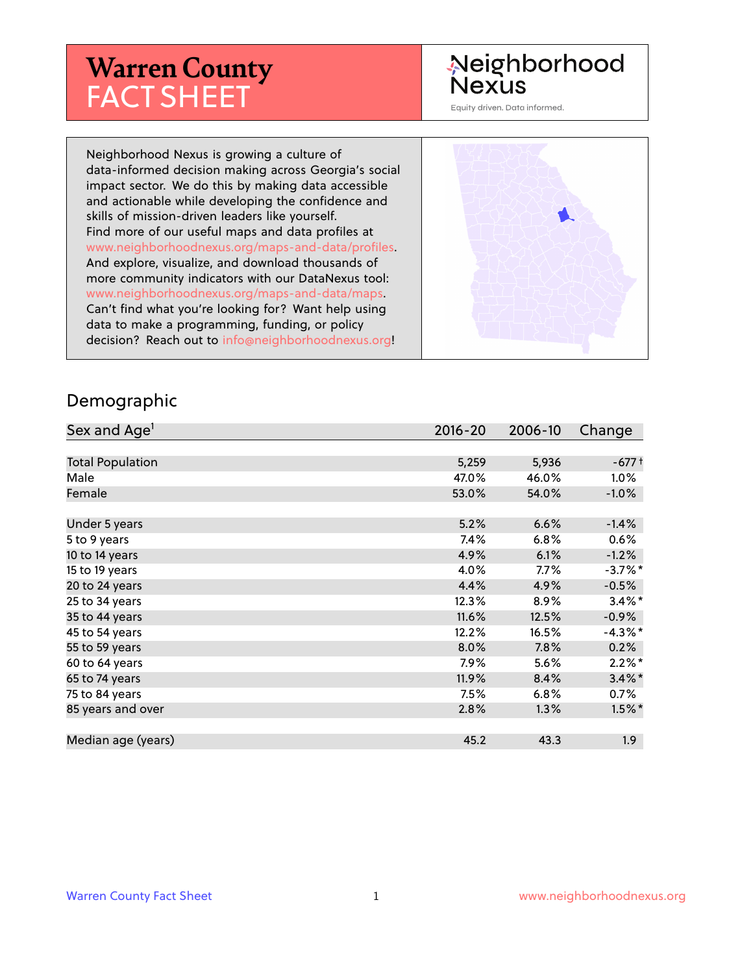# **Warren County** FACT SHEET

## Neighborhood **Nexus**

Equity driven. Data informed.

Neighborhood Nexus is growing a culture of data-informed decision making across Georgia's social impact sector. We do this by making data accessible and actionable while developing the confidence and skills of mission-driven leaders like yourself. Find more of our useful maps and data profiles at www.neighborhoodnexus.org/maps-and-data/profiles. And explore, visualize, and download thousands of more community indicators with our DataNexus tool: www.neighborhoodnexus.org/maps-and-data/maps. Can't find what you're looking for? Want help using data to make a programming, funding, or policy decision? Reach out to [info@neighborhoodnexus.org!](mailto:info@neighborhoodnexus.org)



#### Demographic

| Sex and Age <sup>1</sup> | $2016 - 20$ | 2006-10 | Change               |
|--------------------------|-------------|---------|----------------------|
|                          |             |         |                      |
| <b>Total Population</b>  | 5,259       | 5,936   | $-677$ t             |
| Male                     | 47.0%       | 46.0%   | $1.0\%$              |
| Female                   | 53.0%       | 54.0%   | $-1.0\%$             |
|                          |             |         |                      |
| Under 5 years            | 5.2%        | 6.6%    | $-1.4%$              |
| 5 to 9 years             | 7.4%        | $6.8\%$ | 0.6%                 |
| 10 to 14 years           | 4.9%        | 6.1%    | $-1.2%$              |
| 15 to 19 years           | 4.0%        | 7.7%    | $-3.7%$ *            |
| 20 to 24 years           | 4.4%        | 4.9%    | $-0.5%$              |
| 25 to 34 years           | 12.3%       | 8.9%    | $3.4\%$ *            |
| 35 to 44 years           | 11.6%       | 12.5%   | $-0.9\%$             |
| 45 to 54 years           | 12.2%       | 16.5%   | $-4.3\%$ *           |
| 55 to 59 years           | 8.0%        | 7.8%    | 0.2%                 |
| 60 to 64 years           | 7.9%        | 5.6%    | $2.2\%$ *            |
| 65 to 74 years           | 11.9%       | 8.4%    | $3.4\%$ <sup>*</sup> |
| 75 to 84 years           | 7.5%        | 6.8%    | $0.7\%$              |
| 85 years and over        | 2.8%        | 1.3%    | $1.5\%$ *            |
|                          |             |         |                      |
| Median age (years)       | 45.2        | 43.3    | 1.9                  |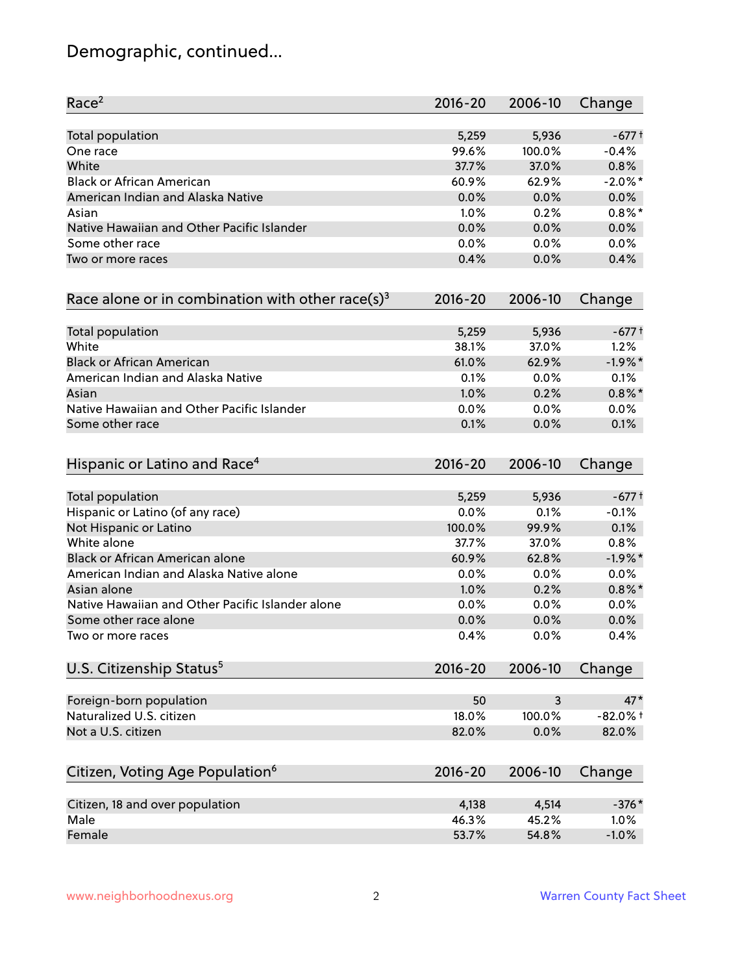# Demographic, continued...

| Race <sup>2</sup>                                            | $2016 - 20$ | 2006-10 | Change     |
|--------------------------------------------------------------|-------------|---------|------------|
| <b>Total population</b>                                      | 5,259       | 5,936   | $-677$ t   |
| One race                                                     | 99.6%       | 100.0%  | $-0.4%$    |
| White                                                        | 37.7%       | 37.0%   | 0.8%       |
| <b>Black or African American</b>                             | 60.9%       | 62.9%   | $-2.0\%$ * |
| American Indian and Alaska Native                            | 0.0%        | 0.0%    | 0.0%       |
| Asian                                                        | 1.0%        | 0.2%    | $0.8\%$ *  |
| Native Hawaiian and Other Pacific Islander                   | 0.0%        | 0.0%    | 0.0%       |
| Some other race                                              | 0.0%        | 0.0%    | 0.0%       |
| Two or more races                                            | 0.4%        | 0.0%    | 0.4%       |
| Race alone or in combination with other race(s) <sup>3</sup> | $2016 - 20$ | 2006-10 | Change     |
| Total population                                             | 5,259       | 5,936   | $-677$ t   |
| White                                                        | 38.1%       | 37.0%   | 1.2%       |
| <b>Black or African American</b>                             | 61.0%       | 62.9%   | $-1.9%$ *  |
| American Indian and Alaska Native                            | 0.1%        | 0.0%    | 0.1%       |
| Asian                                                        | 1.0%        | 0.2%    | $0.8\%$ *  |
| Native Hawaiian and Other Pacific Islander                   | 0.0%        | 0.0%    | 0.0%       |
| Some other race                                              | 0.1%        | 0.0%    | 0.1%       |
| Hispanic or Latino and Race <sup>4</sup>                     | $2016 - 20$ | 2006-10 | Change     |
| <b>Total population</b>                                      | 5,259       | 5,936   | $-677+$    |
| Hispanic or Latino (of any race)                             | 0.0%        | 0.1%    | $-0.1%$    |
| Not Hispanic or Latino                                       | 100.0%      | 99.9%   | 0.1%       |
| White alone                                                  | 37.7%       | 37.0%   | 0.8%       |
| Black or African American alone                              | 60.9%       | 62.8%   | $-1.9%$ *  |
| American Indian and Alaska Native alone                      | 0.0%        | 0.0%    | 0.0%       |
| Asian alone                                                  | 1.0%        | 0.2%    | $0.8\%$ *  |
| Native Hawaiian and Other Pacific Islander alone             | 0.0%        | $0.0\%$ | 0.0%       |
| Some other race alone                                        | 0.0%        | 0.0%    | 0.0%       |
| Two or more races                                            | 0.4%        | 0.0%    | 0.4%       |
| U.S. Citizenship Status <sup>5</sup>                         | $2016 - 20$ | 2006-10 | Change     |
| Foreign-born population                                      | 50          | 3       | $47*$      |
| Naturalized U.S. citizen                                     | 18.0%       | 100.0%  | $-82.0%$ † |
| Not a U.S. citizen                                           | 82.0%       | 0.0%    | 82.0%      |
|                                                              |             |         |            |
| Citizen, Voting Age Population <sup>6</sup>                  | $2016 - 20$ | 2006-10 | Change     |
| Citizen, 18 and over population                              | 4,138       | 4,514   | $-376*$    |
| Male                                                         | 46.3%       | 45.2%   | 1.0%       |
| Female                                                       | 53.7%       | 54.8%   | $-1.0%$    |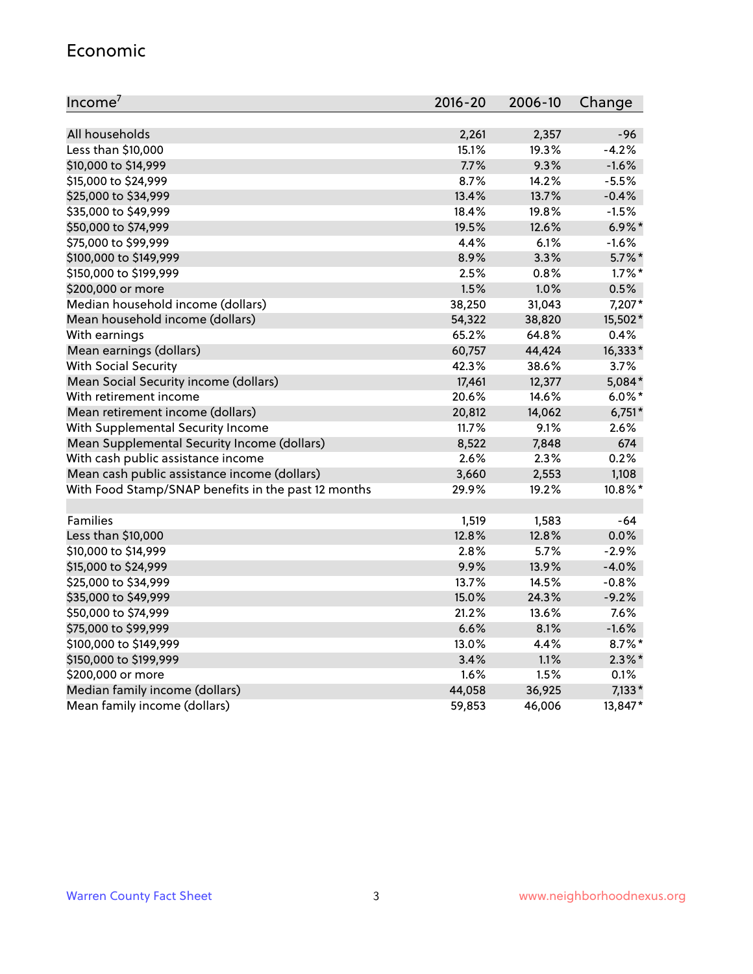#### Economic

| Income <sup>7</sup>                                 | $2016 - 20$ | 2006-10 | Change    |
|-----------------------------------------------------|-------------|---------|-----------|
|                                                     |             |         |           |
| All households                                      | 2,261       | 2,357   | $-96$     |
| Less than \$10,000                                  | 15.1%       | 19.3%   | $-4.2%$   |
| \$10,000 to \$14,999                                | 7.7%        | 9.3%    | $-1.6%$   |
| \$15,000 to \$24,999                                | 8.7%        | 14.2%   | $-5.5%$   |
| \$25,000 to \$34,999                                | 13.4%       | 13.7%   | $-0.4%$   |
| \$35,000 to \$49,999                                | 18.4%       | 19.8%   | $-1.5%$   |
| \$50,000 to \$74,999                                | 19.5%       | 12.6%   | $6.9\%$ * |
| \$75,000 to \$99,999                                | 4.4%        | 6.1%    | $-1.6%$   |
| \$100,000 to \$149,999                              | 8.9%        | 3.3%    | $5.7\%$ * |
| \$150,000 to \$199,999                              | 2.5%        | 0.8%    | $1.7\%$ * |
| \$200,000 or more                                   | 1.5%        | 1.0%    | 0.5%      |
| Median household income (dollars)                   | 38,250      | 31,043  | 7,207*    |
| Mean household income (dollars)                     | 54,322      | 38,820  | 15,502*   |
| With earnings                                       | 65.2%       | 64.8%   | 0.4%      |
| Mean earnings (dollars)                             | 60,757      | 44,424  | 16,333*   |
| <b>With Social Security</b>                         | 42.3%       | 38.6%   | 3.7%      |
| Mean Social Security income (dollars)               | 17,461      | 12,377  | 5,084*    |
| With retirement income                              | 20.6%       | 14.6%   | $6.0\%$ * |
| Mean retirement income (dollars)                    | 20,812      | 14,062  | $6,751*$  |
| With Supplemental Security Income                   | 11.7%       | 9.1%    | 2.6%      |
| Mean Supplemental Security Income (dollars)         | 8,522       | 7,848   | 674       |
| With cash public assistance income                  | 2.6%        | 2.3%    | 0.2%      |
| Mean cash public assistance income (dollars)        | 3,660       | 2,553   | 1,108     |
| With Food Stamp/SNAP benefits in the past 12 months | 29.9%       | 19.2%   | 10.8%*    |
|                                                     |             |         |           |
| Families                                            | 1,519       | 1,583   | -64       |
| Less than \$10,000                                  | 12.8%       | 12.8%   | 0.0%      |
| \$10,000 to \$14,999                                | 2.8%        | 5.7%    | $-2.9%$   |
| \$15,000 to \$24,999                                | 9.9%        | 13.9%   | $-4.0%$   |
| \$25,000 to \$34,999                                | 13.7%       | 14.5%   | $-0.8%$   |
| \$35,000 to \$49,999                                | 15.0%       | 24.3%   | $-9.2%$   |
| \$50,000 to \$74,999                                | 21.2%       | 13.6%   | 7.6%      |
| \$75,000 to \$99,999                                | 6.6%        | 8.1%    | $-1.6%$   |
| \$100,000 to \$149,999                              | 13.0%       | 4.4%    | $8.7\%$ * |
| \$150,000 to \$199,999                              | 3.4%        | 1.1%    | $2.3\%$ * |
| \$200,000 or more                                   | 1.6%        | 1.5%    | 0.1%      |
| Median family income (dollars)                      | 44,058      | 36,925  | $7,133*$  |
| Mean family income (dollars)                        | 59,853      | 46,006  | 13,847*   |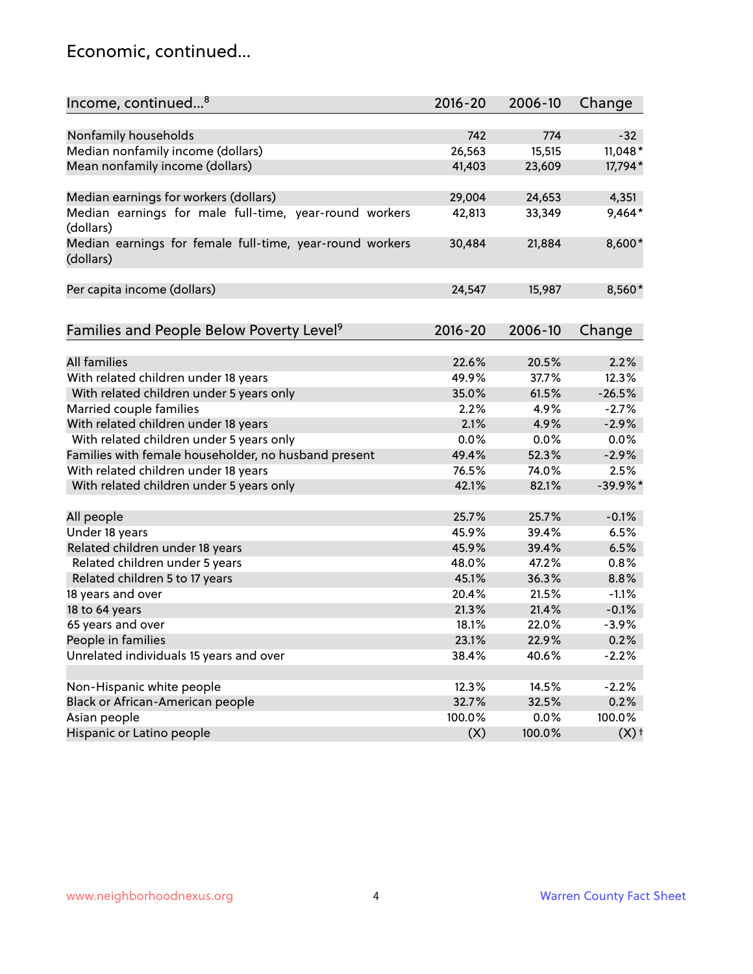### Economic, continued...

| Income, continued <sup>8</sup>                                        | $2016 - 20$ | 2006-10 | Change             |
|-----------------------------------------------------------------------|-------------|---------|--------------------|
|                                                                       |             |         |                    |
| Nonfamily households                                                  | 742         | 774     | $-32$              |
| Median nonfamily income (dollars)                                     | 26,563      | 15,515  | 11,048*            |
| Mean nonfamily income (dollars)                                       | 41,403      | 23,609  | 17,794*            |
| Median earnings for workers (dollars)                                 | 29,004      | 24,653  | 4,351              |
| Median earnings for male full-time, year-round workers<br>(dollars)   | 42,813      | 33,349  | 9,464*             |
| Median earnings for female full-time, year-round workers<br>(dollars) | 30,484      | 21,884  | 8,600*             |
| Per capita income (dollars)                                           | 24,547      | 15,987  | 8,560*             |
| Families and People Below Poverty Level <sup>9</sup>                  | $2016 - 20$ | 2006-10 | Change             |
|                                                                       |             |         |                    |
| <b>All families</b>                                                   | 22.6%       | 20.5%   | 2.2%               |
| With related children under 18 years                                  | 49.9%       | 37.7%   | 12.3%              |
| With related children under 5 years only                              | 35.0%       | 61.5%   | $-26.5%$           |
| Married couple families                                               | 2.2%        | 4.9%    | $-2.7%$            |
| With related children under 18 years                                  | 2.1%        | 4.9%    | $-2.9%$            |
| With related children under 5 years only                              | 0.0%        | 0.0%    | 0.0%               |
| Families with female householder, no husband present                  | 49.4%       | 52.3%   | $-2.9%$            |
| With related children under 18 years                                  | 76.5%       | 74.0%   | 2.5%               |
| With related children under 5 years only                              | 42.1%       | 82.1%   | -39.9%*            |
| All people                                                            | 25.7%       | 25.7%   | $-0.1%$            |
| Under 18 years                                                        | 45.9%       | 39.4%   | 6.5%               |
| Related children under 18 years                                       | 45.9%       | 39.4%   | 6.5%               |
| Related children under 5 years                                        | 48.0%       | 47.2%   | 0.8%               |
| Related children 5 to 17 years                                        | 45.1%       | 36.3%   | 8.8%               |
| 18 years and over                                                     | 20.4%       | 21.5%   | $-1.1%$            |
|                                                                       | 21.3%       | 21.4%   | $-0.1%$            |
| 18 to 64 years<br>65 years and over                                   | 18.1%       |         |                    |
|                                                                       |             | 22.0%   | $-3.9%$            |
| People in families                                                    | 23.1%       | 22.9%   | 0.2%               |
| Unrelated individuals 15 years and over                               | 38.4%       | 40.6%   | $-2.2%$            |
| Non-Hispanic white people                                             | 12.3%       | 14.5%   | $-2.2%$            |
| Black or African-American people                                      | 32.7%       | 32.5%   | 0.2%               |
| Asian people                                                          | 100.0%      | 0.0%    | 100.0%             |
| Hispanic or Latino people                                             | (X)         | 100.0%  | $(X)$ <sup>+</sup> |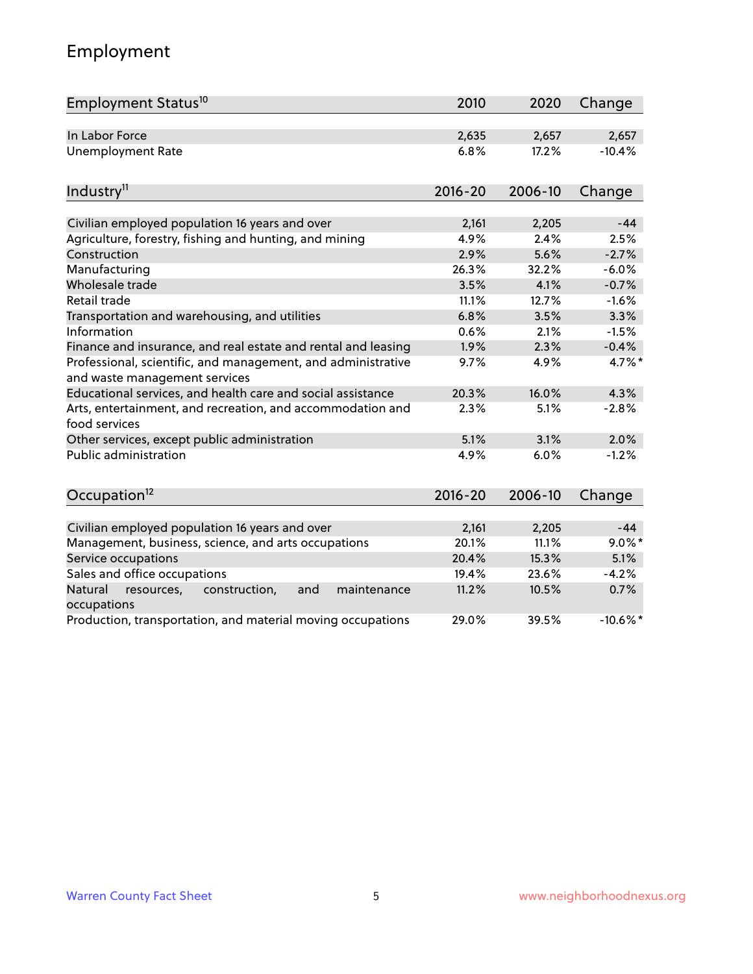# Employment

| Employment Status <sup>10</sup>                                                               | 2010        | 2020    | Change     |
|-----------------------------------------------------------------------------------------------|-------------|---------|------------|
| In Labor Force                                                                                | 2,635       | 2,657   | 2,657      |
| <b>Unemployment Rate</b>                                                                      | 6.8%        | 17.2%   | $-10.4%$   |
| Industry <sup>11</sup>                                                                        | $2016 - 20$ | 2006-10 | Change     |
|                                                                                               |             |         |            |
| Civilian employed population 16 years and over                                                | 2,161       | 2,205   | $-44$      |
| Agriculture, forestry, fishing and hunting, and mining                                        | 4.9%        | 2.4%    | 2.5%       |
| Construction                                                                                  | 2.9%        | 5.6%    | $-2.7%$    |
| Manufacturing                                                                                 | 26.3%       | 32.2%   | $-6.0%$    |
| Wholesale trade                                                                               | 3.5%        | 4.1%    | $-0.7%$    |
| Retail trade                                                                                  | 11.1%       | 12.7%   | $-1.6%$    |
| Transportation and warehousing, and utilities                                                 | 6.8%        | 3.5%    | 3.3%       |
| Information                                                                                   | 0.6%        | 2.1%    | $-1.5%$    |
| Finance and insurance, and real estate and rental and leasing                                 | 1.9%        | 2.3%    | $-0.4%$    |
| Professional, scientific, and management, and administrative<br>and waste management services | 9.7%        | 4.9%    | 4.7%*      |
| Educational services, and health care and social assistance                                   | 20.3%       | 16.0%   | 4.3%       |
| Arts, entertainment, and recreation, and accommodation and<br>food services                   | 2.3%        | 5.1%    | $-2.8%$    |
| Other services, except public administration                                                  | 5.1%        | 3.1%    | 2.0%       |
| Public administration                                                                         | 4.9%        | 6.0%    | $-1.2%$    |
| Occupation <sup>12</sup>                                                                      | $2016 - 20$ | 2006-10 | Change     |
|                                                                                               |             |         |            |
| Civilian employed population 16 years and over                                                | 2,161       | 2,205   | $-44$      |
| Management, business, science, and arts occupations                                           | 20.1%       | 11.1%   | $9.0\%$ *  |
| Service occupations                                                                           | 20.4%       | 15.3%   | 5.1%       |
| Sales and office occupations                                                                  | 19.4%       | 23.6%   | $-4.2%$    |
| Natural<br>and<br>maintenance<br>resources,<br>construction,<br>occupations                   | 11.2%       | 10.5%   | 0.7%       |
| Production, transportation, and material moving occupations                                   | 29.0%       | 39.5%   | $-10.6%$ * |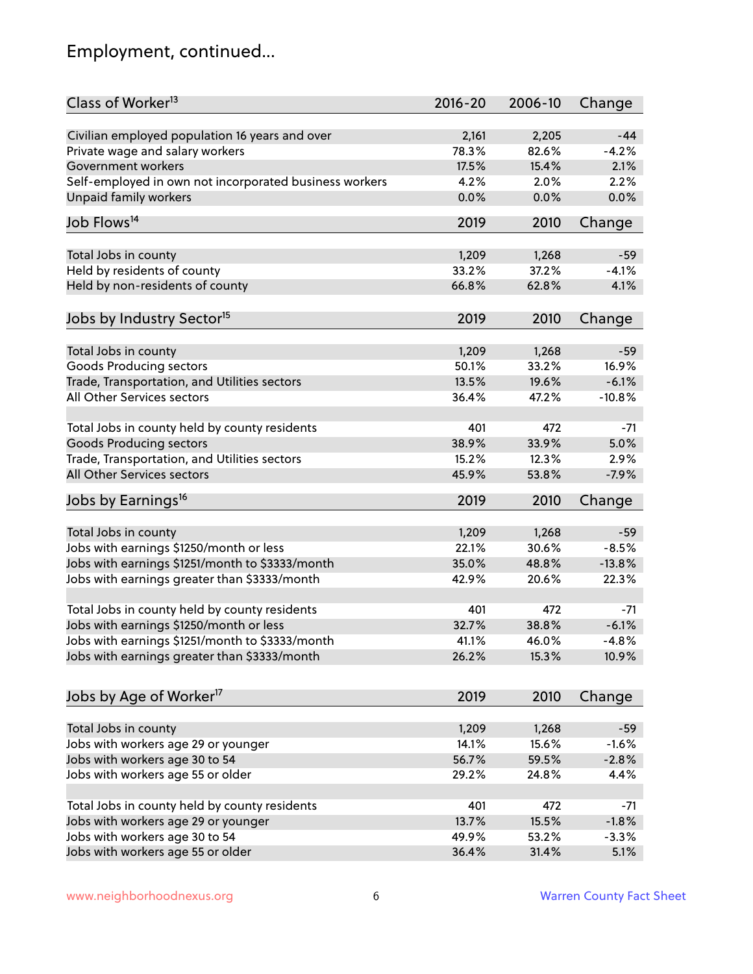# Employment, continued...

| Class of Worker <sup>13</sup>                          | $2016 - 20$ | 2006-10 | Change   |
|--------------------------------------------------------|-------------|---------|----------|
| Civilian employed population 16 years and over         | 2,161       | 2,205   | $-44$    |
| Private wage and salary workers                        | 78.3%       | 82.6%   | $-4.2%$  |
| Government workers                                     | 17.5%       | 15.4%   | 2.1%     |
| Self-employed in own not incorporated business workers | 4.2%        | 2.0%    | 2.2%     |
| Unpaid family workers                                  | 0.0%        | 0.0%    | 0.0%     |
|                                                        |             |         |          |
| Job Flows <sup>14</sup>                                | 2019        | 2010    | Change   |
| Total Jobs in county                                   | 1,209       | 1,268   | $-59$    |
| Held by residents of county                            | 33.2%       | 37.2%   | $-4.1%$  |
| Held by non-residents of county                        | 66.8%       | 62.8%   | 4.1%     |
|                                                        |             |         |          |
| Jobs by Industry Sector <sup>15</sup>                  | 2019        | 2010    | Change   |
| Total Jobs in county                                   | 1,209       | 1,268   | $-59$    |
| Goods Producing sectors                                | 50.1%       | 33.2%   | 16.9%    |
| Trade, Transportation, and Utilities sectors           | 13.5%       | 19.6%   | $-6.1%$  |
| All Other Services sectors                             | 36.4%       | 47.2%   | $-10.8%$ |
|                                                        |             |         |          |
| Total Jobs in county held by county residents          | 401         | 472     | $-71$    |
| <b>Goods Producing sectors</b>                         | 38.9%       | 33.9%   | 5.0%     |
| Trade, Transportation, and Utilities sectors           | 15.2%       | 12.3%   | 2.9%     |
| All Other Services sectors                             | 45.9%       | 53.8%   | $-7.9%$  |
| Jobs by Earnings <sup>16</sup>                         | 2019        | 2010    | Change   |
|                                                        |             |         |          |
| Total Jobs in county                                   | 1,209       | 1,268   | $-59$    |
| Jobs with earnings \$1250/month or less                | 22.1%       | 30.6%   | $-8.5%$  |
| Jobs with earnings \$1251/month to \$3333/month        | 35.0%       | 48.8%   | $-13.8%$ |
| Jobs with earnings greater than \$3333/month           | 42.9%       | 20.6%   | 22.3%    |
| Total Jobs in county held by county residents          | 401         | 472     | -71      |
| Jobs with earnings \$1250/month or less                | 32.7%       | 38.8%   | $-6.1%$  |
| Jobs with earnings \$1251/month to \$3333/month        | 41.1%       | 46.0%   | -4.8%    |
| Jobs with earnings greater than \$3333/month           | 26.2%       | 15.3%   | 10.9%    |
|                                                        |             |         |          |
| Jobs by Age of Worker <sup>17</sup>                    | 2019        | 2010    | Change   |
|                                                        |             |         |          |
| Total Jobs in county                                   | 1,209       | 1,268   | $-59$    |
| Jobs with workers age 29 or younger                    | 14.1%       | 15.6%   | $-1.6%$  |
| Jobs with workers age 30 to 54                         | 56.7%       | 59.5%   | $-2.8%$  |
| Jobs with workers age 55 or older                      | 29.2%       | 24.8%   | 4.4%     |
| Total Jobs in county held by county residents          | 401         | 472     | $-71$    |
| Jobs with workers age 29 or younger                    | 13.7%       | 15.5%   | $-1.8%$  |
| Jobs with workers age 30 to 54                         | 49.9%       | 53.2%   | $-3.3%$  |
| Jobs with workers age 55 or older                      | 36.4%       | 31.4%   | 5.1%     |
|                                                        |             |         |          |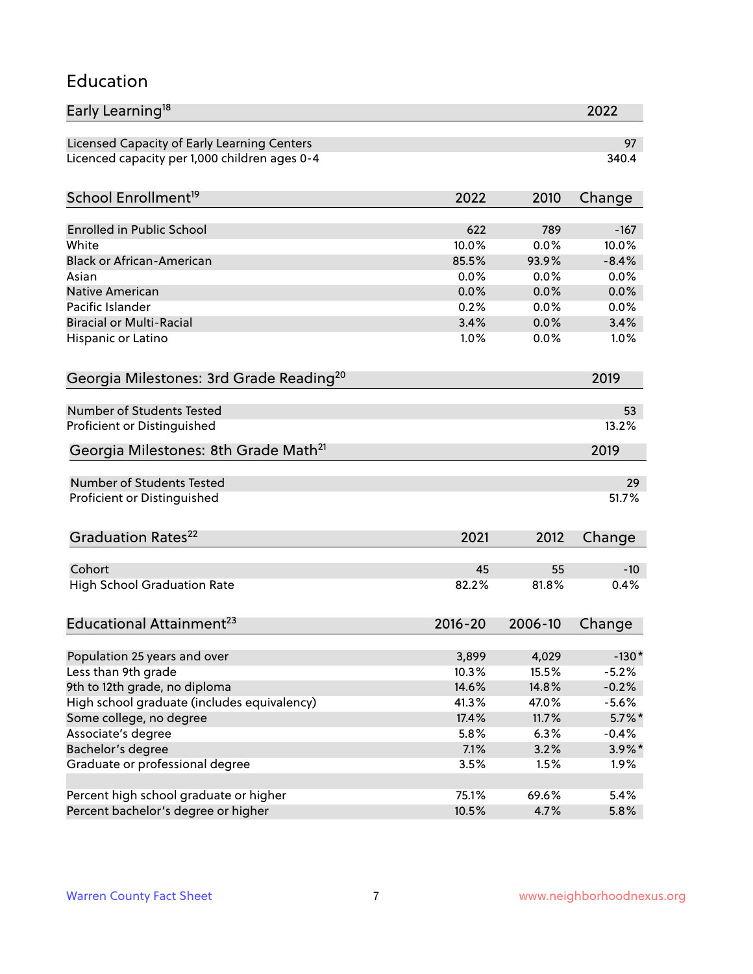#### Education

| Early Learning <sup>18</sup>                        |             |         | 2022      |
|-----------------------------------------------------|-------------|---------|-----------|
| Licensed Capacity of Early Learning Centers         |             |         | 97        |
| Licenced capacity per 1,000 children ages 0-4       |             |         | 340.4     |
| School Enrollment <sup>19</sup>                     | 2022        | 2010    | Change    |
|                                                     |             |         |           |
| <b>Enrolled in Public School</b>                    | 622         | 789     | $-167$    |
| White                                               | 10.0%       | 0.0%    | 10.0%     |
| <b>Black or African-American</b>                    | 85.5%       | 93.9%   | $-8.4%$   |
| Asian                                               | 0.0%        | 0.0%    | 0.0%      |
| Native American                                     | 0.0%        | 0.0%    | 0.0%      |
| Pacific Islander                                    | 0.2%        | 0.0%    | 0.0%      |
| <b>Biracial or Multi-Racial</b>                     | 3.4%        | 0.0%    | 3.4%      |
| Hispanic or Latino                                  | 1.0%        | 0.0%    | 1.0%      |
| Georgia Milestones: 3rd Grade Reading <sup>20</sup> |             |         | 2019      |
|                                                     |             |         |           |
| <b>Number of Students Tested</b>                    |             |         | 53        |
| Proficient or Distinguished                         |             |         | 13.2%     |
| Georgia Milestones: 8th Grade Math <sup>21</sup>    |             |         | 2019      |
| <b>Number of Students Tested</b>                    |             |         | 29        |
| Proficient or Distinguished                         |             |         | 51.7%     |
| Graduation Rates <sup>22</sup>                      | 2021        | 2012    | Change    |
|                                                     |             |         |           |
| Cohort                                              | 45          | 55      | $-10$     |
| <b>High School Graduation Rate</b>                  | 82.2%       | 81.8%   | 0.4%      |
| Educational Attainment <sup>23</sup>                | $2016 - 20$ | 2006-10 | Change    |
|                                                     |             |         |           |
| Population 25 years and over                        | 3,899       | 4,029   | $-130*$   |
| Less than 9th grade                                 | 10.3%       | 15.5%   | $-5.2%$   |
| 9th to 12th grade, no diploma                       | 14.6%       | 14.8%   | $-0.2%$   |
| High school graduate (includes equivalency)         | 41.3%       | 47.0%   | $-5.6%$   |
| Some college, no degree                             | 17.4%       | 11.7%   | $5.7\%$ * |
| Associate's degree                                  | 5.8%        | 6.3%    | $-0.4%$   |
| Bachelor's degree                                   | 7.1%        | 3.2%    | $3.9\%$ * |
| Graduate or professional degree                     | 3.5%        | 1.5%    | $1.9\%$   |
| Percent high school graduate or higher              | 75.1%       | 69.6%   | 5.4%      |
| Percent bachelor's degree or higher                 | 10.5%       | 4.7%    | 5.8%      |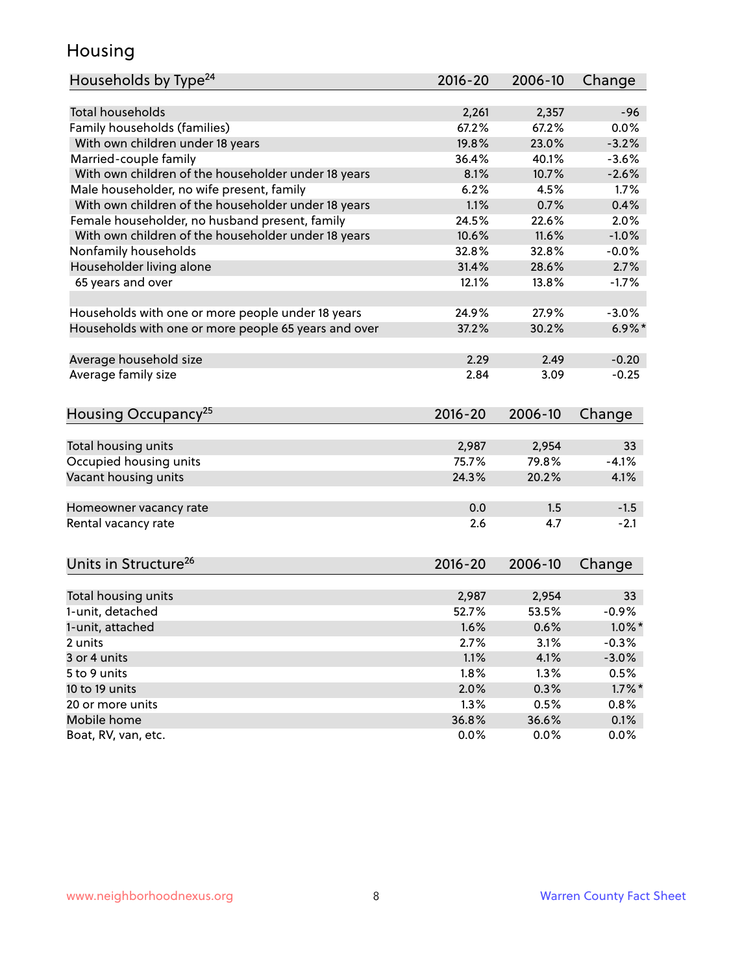### Housing

| Households by Type <sup>24</sup>                     | 2016-20     | 2006-10 | Change    |
|------------------------------------------------------|-------------|---------|-----------|
|                                                      |             |         |           |
| <b>Total households</b>                              | 2,261       | 2,357   | $-96$     |
| Family households (families)                         | 67.2%       | 67.2%   | 0.0%      |
| With own children under 18 years                     | 19.8%       | 23.0%   | $-3.2%$   |
| Married-couple family                                | 36.4%       | 40.1%   | $-3.6%$   |
| With own children of the householder under 18 years  | 8.1%        | 10.7%   | $-2.6%$   |
| Male householder, no wife present, family            | 6.2%        | 4.5%    | 1.7%      |
| With own children of the householder under 18 years  | 1.1%        | 0.7%    | 0.4%      |
| Female householder, no husband present, family       | 24.5%       | 22.6%   | 2.0%      |
| With own children of the householder under 18 years  | 10.6%       | 11.6%   | $-1.0%$   |
| Nonfamily households                                 | 32.8%       | 32.8%   | $-0.0%$   |
| Householder living alone                             | 31.4%       | 28.6%   | 2.7%      |
| 65 years and over                                    | 12.1%       | 13.8%   | $-1.7%$   |
| Households with one or more people under 18 years    | 24.9%       | 27.9%   | $-3.0%$   |
| Households with one or more people 65 years and over | 37.2%       | 30.2%   | $6.9\%$ * |
|                                                      |             |         |           |
| Average household size                               | 2.29        | 2.49    | $-0.20$   |
| Average family size                                  | 2.84        | 3.09    | $-0.25$   |
| Housing Occupancy <sup>25</sup>                      | $2016 - 20$ | 2006-10 | Change    |
|                                                      |             |         |           |
| Total housing units                                  | 2,987       | 2,954   | 33        |
| Occupied housing units                               | 75.7%       | 79.8%   | $-4.1%$   |
| Vacant housing units                                 | 24.3%       | 20.2%   | 4.1%      |
| Homeowner vacancy rate                               | 0.0         | 1.5     | $-1.5$    |
| Rental vacancy rate                                  | 2.6         | 4.7     | $-2.1$    |
|                                                      |             |         |           |
| Units in Structure <sup>26</sup>                     | 2016-20     | 2006-10 | Change    |
|                                                      | 2,987       | 2,954   | 33        |
| Total housing units<br>1-unit, detached              | 52.7%       | 53.5%   | $-0.9%$   |
|                                                      |             |         |           |
| 1-unit, attached                                     | 1.6%        | 0.6%    | $1.0\%$ * |
| 2 units                                              | 2.7%        | 3.1%    | $-0.3%$   |
| 3 or 4 units                                         | 1.1%        | 4.1%    | $-3.0%$   |
| 5 to 9 units                                         | 1.8%        | 1.3%    | 0.5%      |
| 10 to 19 units                                       | 2.0%        | 0.3%    | $1.7\%$ * |
| 20 or more units                                     | 1.3%        | 0.5%    | 0.8%      |
| Mobile home                                          | 36.8%       | 36.6%   | 0.1%      |
| Boat, RV, van, etc.                                  | 0.0%        | 0.0%    | 0.0%      |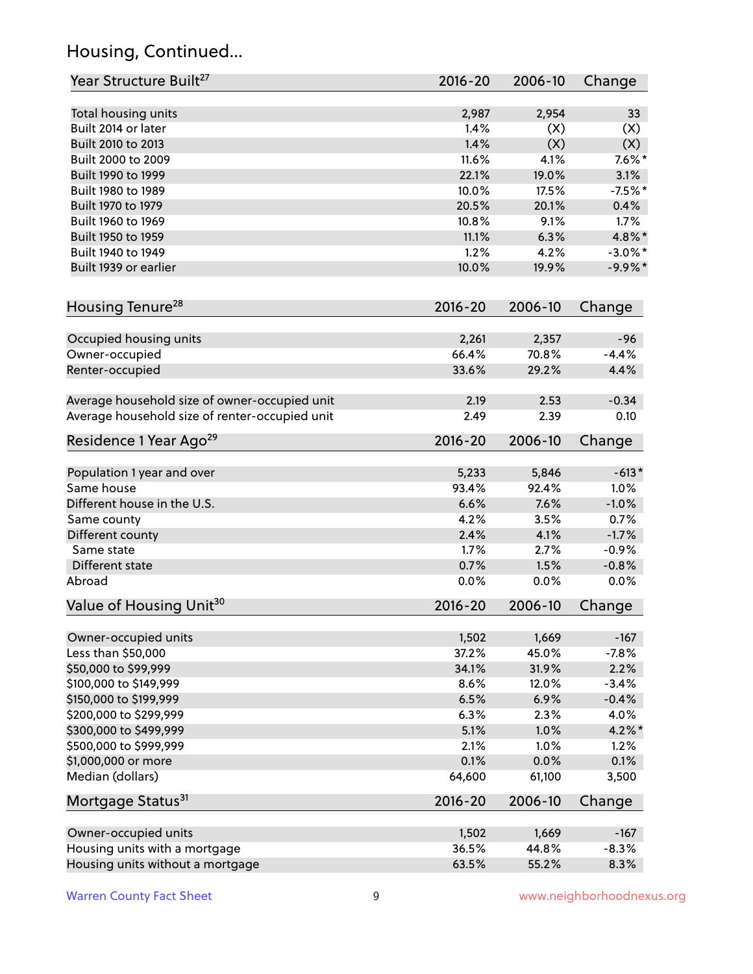# Housing, Continued...

| Year Structure Built <sup>27</sup>             | 2016-20       | 2006-10       | Change       |
|------------------------------------------------|---------------|---------------|--------------|
| Total housing units                            | 2,987         | 2,954         | 33           |
| Built 2014 or later                            | 1.4%          | (X)           | (X)          |
| Built 2010 to 2013                             | 1.4%          | (X)           | (X)          |
| Built 2000 to 2009                             | 11.6%         | 4.1%          | $7.6\%$ *    |
| Built 1990 to 1999                             | 22.1%         | 19.0%         | 3.1%         |
| Built 1980 to 1989                             | 10.0%         | 17.5%         | $-7.5%$ *    |
| Built 1970 to 1979                             | 20.5%         |               |              |
| Built 1960 to 1969                             | 10.8%         | 20.1%<br>9.1% | 0.4%<br>1.7% |
|                                                |               |               |              |
| Built 1950 to 1959                             | 11.1%<br>1.2% | 6.3%          | 4.8%*        |
| Built 1940 to 1949                             |               | 4.2%          | $-3.0\%$ *   |
| Built 1939 or earlier                          | 10.0%         | 19.9%         | $-9.9%$ *    |
| Housing Tenure <sup>28</sup>                   | $2016 - 20$   | 2006-10       | Change       |
| Occupied housing units                         | 2,261         | 2,357         | $-96$        |
| Owner-occupied                                 | 66.4%         | 70.8%         | $-4.4%$      |
| Renter-occupied                                | 33.6%         | 29.2%         | 4.4%         |
|                                                |               |               |              |
| Average household size of owner-occupied unit  | 2.19          | 2.53          | $-0.34$      |
| Average household size of renter-occupied unit | 2.49          | 2.39          | 0.10         |
| Residence 1 Year Ago <sup>29</sup>             | $2016 - 20$   | 2006-10       | Change       |
| Population 1 year and over                     | 5,233         | 5,846         | $-613*$      |
| Same house                                     | 93.4%         | 92.4%         | 1.0%         |
| Different house in the U.S.                    | 6.6%          | 7.6%          | $-1.0%$      |
|                                                |               | 3.5%          |              |
| Same county                                    | 4.2%          |               | 0.7%         |
| Different county<br>Same state                 | 2.4%          | 4.1%          | $-1.7%$      |
|                                                | 1.7%          | 2.7%          | $-0.9%$      |
| Different state                                | 0.7%          | 1.5%          | $-0.8%$      |
| Abroad                                         | 0.0%          | 0.0%          | 0.0%         |
| Value of Housing Unit <sup>30</sup>            | 2016-20       | 2006-10       | Change       |
| Owner-occupied units                           | 1,502         | 1,669         | $-167$       |
| Less than \$50,000                             | 37.2%         | 45.0%         | $-7.8%$      |
| \$50,000 to \$99,999                           | 34.1%         | 31.9%         | 2.2%         |
| \$100,000 to \$149,999                         | 8.6%          | 12.0%         | $-3.4%$      |
| \$150,000 to \$199,999                         | 6.5%          | 6.9%          | $-0.4%$      |
| \$200,000 to \$299,999                         | 6.3%          | 2.3%          | 4.0%         |
| \$300,000 to \$499,999                         | 5.1%          | 1.0%          | 4.2%*        |
| \$500,000 to \$999,999                         | 2.1%          | 1.0%          | 1.2%         |
| \$1,000,000 or more                            | 0.1%          | 0.0%          | 0.1%         |
| Median (dollars)                               | 64,600        | 61,100        | 3,500        |
| Mortgage Status <sup>31</sup>                  | $2016 - 20$   | 2006-10       | Change       |
|                                                |               |               |              |
| Owner-occupied units                           | 1,502         | 1,669         | $-167$       |
| Housing units with a mortgage                  | 36.5%         | 44.8%         | $-8.3%$      |
| Housing units without a mortgage               | 63.5%         | 55.2%         | 8.3%         |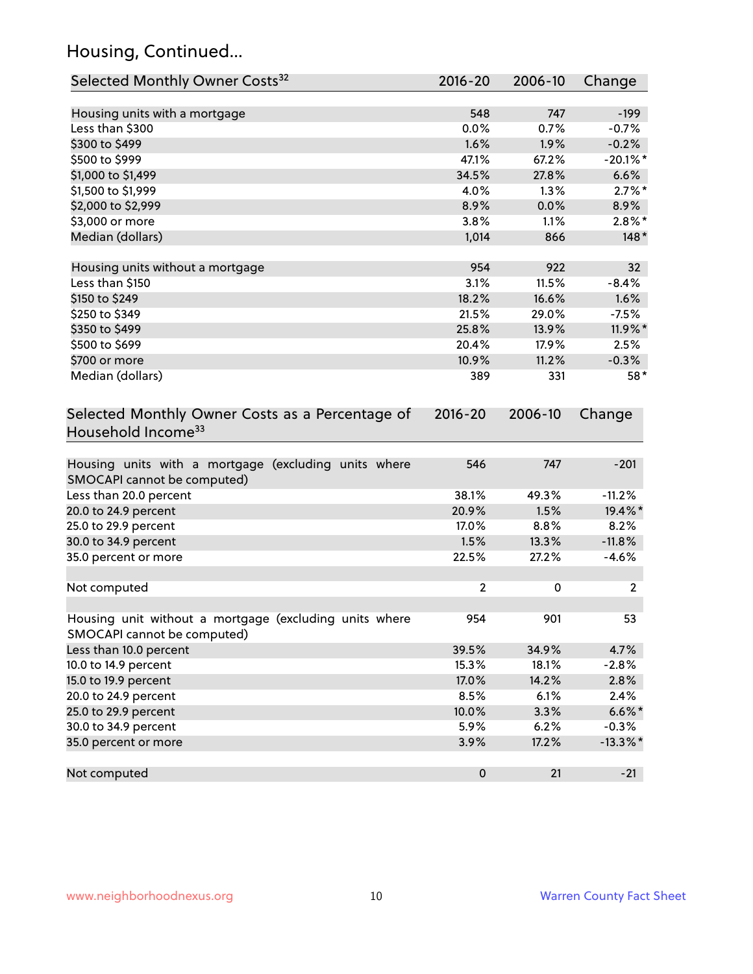# Housing, Continued...

| Selected Monthly Owner Costs <sup>32</sup>                                            | 2016-20        | 2006-10 | Change         |
|---------------------------------------------------------------------------------------|----------------|---------|----------------|
| Housing units with a mortgage                                                         | 548            | 747     | $-199$         |
| Less than \$300                                                                       | 0.0%           | 0.7%    | $-0.7%$        |
| \$300 to \$499                                                                        | 1.6%           | 1.9%    | $-0.2%$        |
| \$500 to \$999                                                                        | 47.1%          | 67.2%   | $-20.1\%$ *    |
| \$1,000 to \$1,499                                                                    | 34.5%          | 27.8%   | 6.6%           |
| \$1,500 to \$1,999                                                                    | 4.0%           | 1.3%    | $2.7\%$ *      |
| \$2,000 to \$2,999                                                                    | 8.9%           | 0.0%    | 8.9%           |
| \$3,000 or more                                                                       | 3.8%           | 1.1%    | $2.8\%$ *      |
| Median (dollars)                                                                      | 1,014          | 866     | $148*$         |
| Housing units without a mortgage                                                      | 954            | 922     | 32             |
| Less than \$150                                                                       | 3.1%           | 11.5%   | $-8.4%$        |
| \$150 to \$249                                                                        | 18.2%          | 16.6%   | 1.6%           |
| \$250 to \$349                                                                        | 21.5%          | 29.0%   | $-7.5%$        |
| \$350 to \$499                                                                        | 25.8%          | 13.9%   | 11.9%*         |
| \$500 to \$699                                                                        | 20.4%          | 17.9%   | 2.5%           |
| \$700 or more                                                                         | 10.9%          | 11.2%   | $-0.3%$        |
| Median (dollars)                                                                      | 389            | 331     | $58*$          |
| Selected Monthly Owner Costs as a Percentage of<br>Household Income <sup>33</sup>     | $2016 - 20$    |         | Change         |
| Housing units with a mortgage (excluding units where<br>SMOCAPI cannot be computed)   | 546            | 747     | $-201$         |
| Less than 20.0 percent                                                                | 38.1%          | 49.3%   | $-11.2%$       |
| 20.0 to 24.9 percent                                                                  | 20.9%          | 1.5%    | 19.4%*         |
| 25.0 to 29.9 percent                                                                  | 17.0%          | 8.8%    | 8.2%           |
| 30.0 to 34.9 percent                                                                  | 1.5%           | 13.3%   | $-11.8%$       |
| 35.0 percent or more                                                                  | 22.5%          | 27.2%   | $-4.6%$        |
| Not computed                                                                          | $\overline{2}$ | 0       | $\overline{2}$ |
| Housing unit without a mortgage (excluding units where<br>SMOCAPI cannot be computed) | 954            | 901     | 53             |
| Less than 10.0 percent                                                                | 39.5%          | 34.9%   | 4.7%           |
| 10.0 to 14.9 percent                                                                  | 15.3%          | 18.1%   | $-2.8%$        |
| 15.0 to 19.9 percent                                                                  | 17.0%          | 14.2%   | 2.8%           |
| 20.0 to 24.9 percent                                                                  | 8.5%           | 6.1%    | 2.4%           |
| 25.0 to 29.9 percent                                                                  | 10.0%          | 3.3%    | $6.6\%*$       |
| 30.0 to 34.9 percent                                                                  | 5.9%           | 6.2%    | $-0.3%$        |
| 35.0 percent or more                                                                  | 3.9%           | 17.2%   | $-13.3\%$ *    |
| Not computed                                                                          | $\pmb{0}$      | 21      | $-21$          |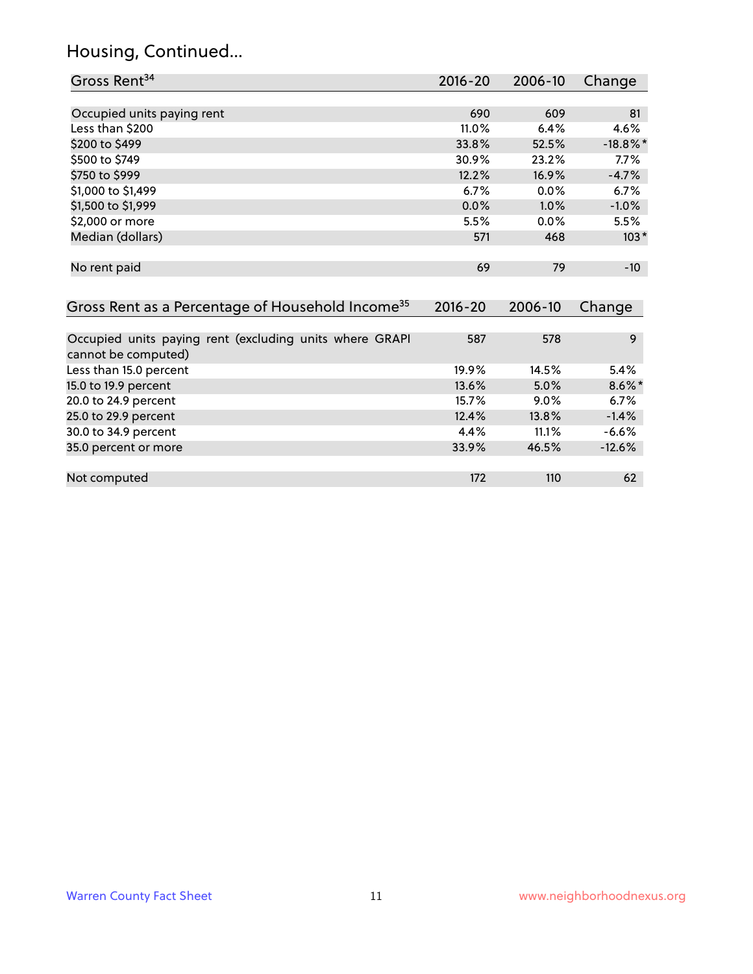#### Housing, Continued...

| Gross Rent <sup>34</sup>                                     | 2016-20     | $2006 - 10$ | Change      |
|--------------------------------------------------------------|-------------|-------------|-------------|
|                                                              |             |             |             |
| Occupied units paying rent                                   | 690         | 609         | 81          |
| Less than \$200                                              | 11.0%       | 6.4%        | 4.6%        |
| \$200 to \$499                                               | 33.8%       | 52.5%       | $-18.8\%$ * |
| \$500 to \$749                                               | 30.9%       | 23.2%       | 7.7%        |
| \$750 to \$999                                               | 12.2%       | 16.9%       | $-4.7%$     |
| \$1,000 to \$1,499                                           | 6.7%        | $0.0\%$     | 6.7%        |
| \$1,500 to \$1,999                                           | 0.0%        | 1.0%        | $-1.0%$     |
| \$2,000 or more                                              | 5.5%        | 0.0%        | 5.5%        |
| Median (dollars)                                             | 571         | 468         | $103*$      |
| No rent paid                                                 | 69          | 79          | $-10$       |
| Gross Rent as a Percentage of Household Income <sup>35</sup> | $2016 - 20$ | 2006-10     | Change      |
| Occupied units paying rent (excluding units where GRAPI      | 587         | 578         | 9           |
| cannot be computed)                                          |             |             |             |
| Less than 15.0 percent                                       | 19.9%       | 14.5%       | 5.4%        |
| 15.0 to 19.9 percent                                         | 13.6%       | 5.0%        | $8.6\%$ *   |
| 20.0 to 24.9 percent                                         | 15.7%       | $9.0\%$     | 6.7%        |

25.0 to 29.9 percent 12.4% 13.8% -1.4% 30.0 to 34.9 percent 4.4% 11.1% -6.6% 11.1% -6.6% 11.1% -6.6% 11.1% -6.6% 11.1% -6.6% 11.1% 12.6% 12.6% 12.6%

Not computed and the computed computed the computed computed in the computed of  $172$  and  $62$ 

35.0 percent or more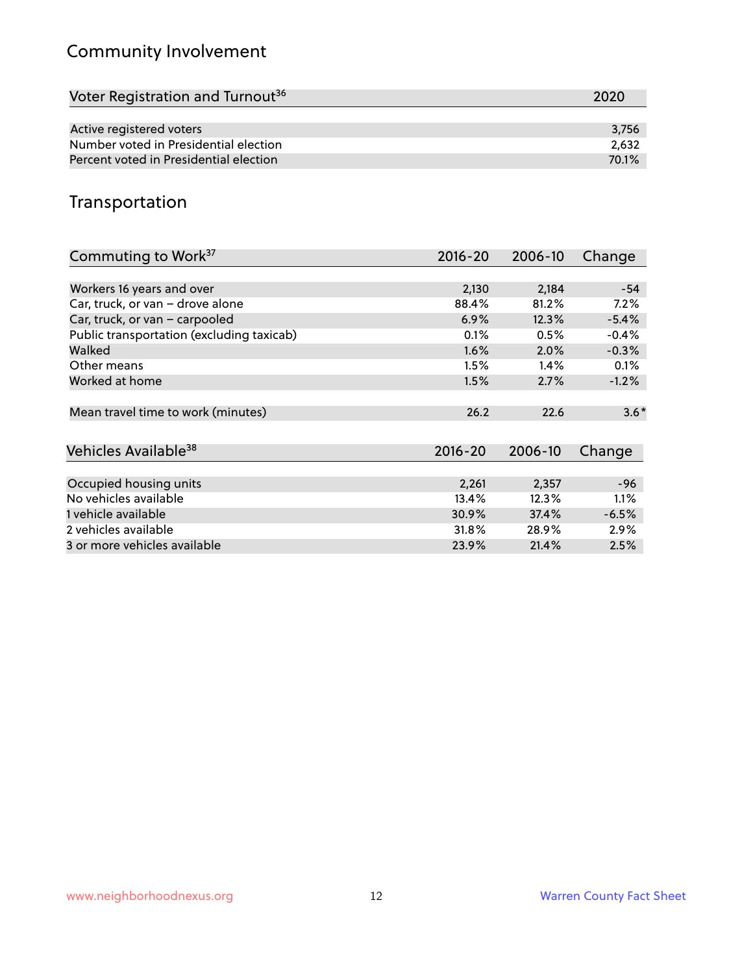# Community Involvement

| Voter Registration and Turnout <sup>36</sup> | 2020  |
|----------------------------------------------|-------|
|                                              |       |
| Active registered voters                     | 3.756 |
| Number voted in Presidential election        | 2.632 |
| Percent voted in Presidential election       | 70.1% |

# Transportation

| Commuting to Work <sup>37</sup>           | 2016-20     | 2006-10 | Change  |
|-------------------------------------------|-------------|---------|---------|
|                                           |             |         |         |
| Workers 16 years and over                 | 2,130       | 2,184   | $-54$   |
| Car, truck, or van - drove alone          | 88.4%       | 81.2%   | $7.2\%$ |
| Car, truck, or van - carpooled            | 6.9%        | 12.3%   | $-5.4%$ |
| Public transportation (excluding taxicab) | 0.1%        | 0.5%    | $-0.4%$ |
| Walked                                    | 1.6%        | 2.0%    | $-0.3%$ |
| Other means                               | 1.5%        | 1.4%    | 0.1%    |
| Worked at home                            | 1.5%        | 2.7%    | $-1.2%$ |
|                                           |             |         |         |
| Mean travel time to work (minutes)        | 26.2        | 22.6    | $3.6*$  |
|                                           |             |         |         |
| Vehicles Available <sup>38</sup>          | $2016 - 20$ | 2006-10 | Change  |
|                                           |             |         |         |
| Occupied housing units                    | 2,261       | 2,357   | $-96$   |
| No vehicles available                     | 13.4%       | 12.3%   | 1.1%    |
| 1 vehicle available                       | 30.9%       | 37.4%   | $-6.5%$ |
| 2 vehicles available                      | 31.8%       | 28.9%   | 2.9%    |
| 3 or more vehicles available              | 23.9%       | 21.4%   | 2.5%    |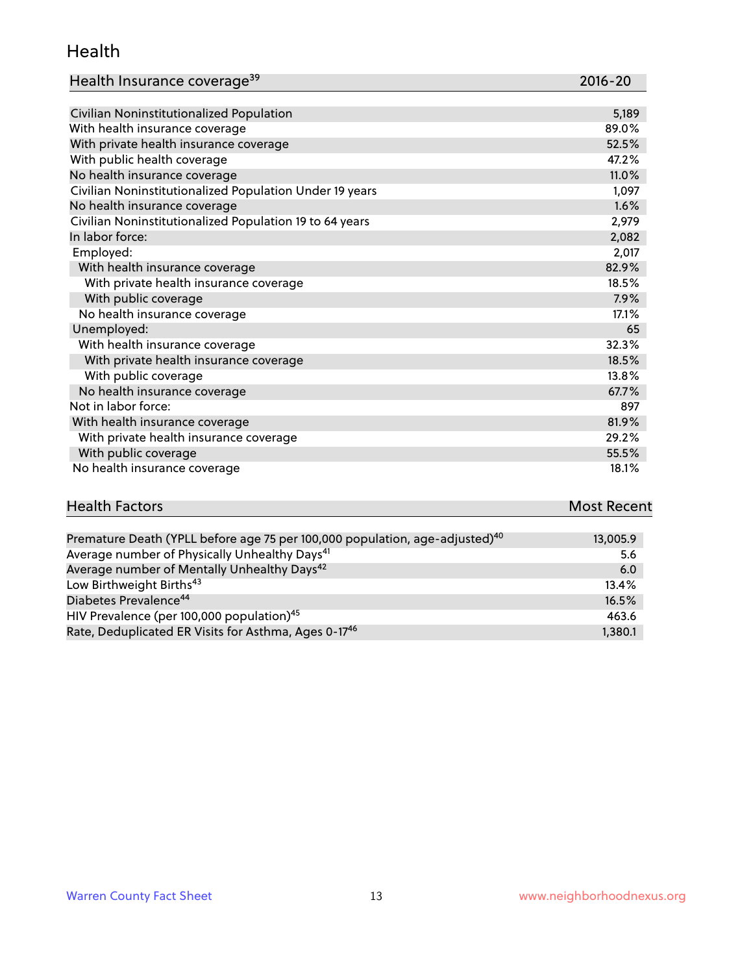#### Health

| Health Insurance coverage <sup>39</sup> | 2016-20 |
|-----------------------------------------|---------|
|-----------------------------------------|---------|

| Civilian Noninstitutionalized Population                | 5,189 |
|---------------------------------------------------------|-------|
| With health insurance coverage                          | 89.0% |
| With private health insurance coverage                  | 52.5% |
| With public health coverage                             | 47.2% |
| No health insurance coverage                            | 11.0% |
| Civilian Noninstitutionalized Population Under 19 years | 1,097 |
| No health insurance coverage                            | 1.6%  |
| Civilian Noninstitutionalized Population 19 to 64 years | 2,979 |
| In labor force:                                         | 2,082 |
| Employed:                                               | 2,017 |
| With health insurance coverage                          | 82.9% |
| With private health insurance coverage                  | 18.5% |
| With public coverage                                    | 7.9%  |
| No health insurance coverage                            | 17.1% |
| Unemployed:                                             | 65    |
| With health insurance coverage                          | 32.3% |
| With private health insurance coverage                  | 18.5% |
| With public coverage                                    | 13.8% |
| No health insurance coverage                            | 67.7% |
| Not in labor force:                                     | 897   |
| With health insurance coverage                          | 81.9% |
| With private health insurance coverage                  | 29.2% |
| With public coverage                                    | 55.5% |
| No health insurance coverage                            | 18.1% |

| <b>Health Factors</b>                                                                   | <b>Most Recent</b> |
|-----------------------------------------------------------------------------------------|--------------------|
|                                                                                         |                    |
| Premature Death (YPLL before age 75 per 100,000 population, age-adjusted) <sup>40</sup> | 13,005.9           |

| Thermaters Death (The Bergie age to per reviewe population, age adjusted) |         |
|---------------------------------------------------------------------------|---------|
| Average number of Physically Unhealthy Days <sup>41</sup>                 | 5.6     |
| Average number of Mentally Unhealthy Days <sup>42</sup>                   | 6.0     |
| Low Birthweight Births <sup>43</sup>                                      | 13.4%   |
| Diabetes Prevalence <sup>44</sup>                                         | 16.5%   |
| HIV Prevalence (per 100,000 population) <sup>45</sup>                     | 463.6   |
| Rate, Deduplicated ER Visits for Asthma, Ages 0-17 <sup>46</sup>          | 1,380.1 |